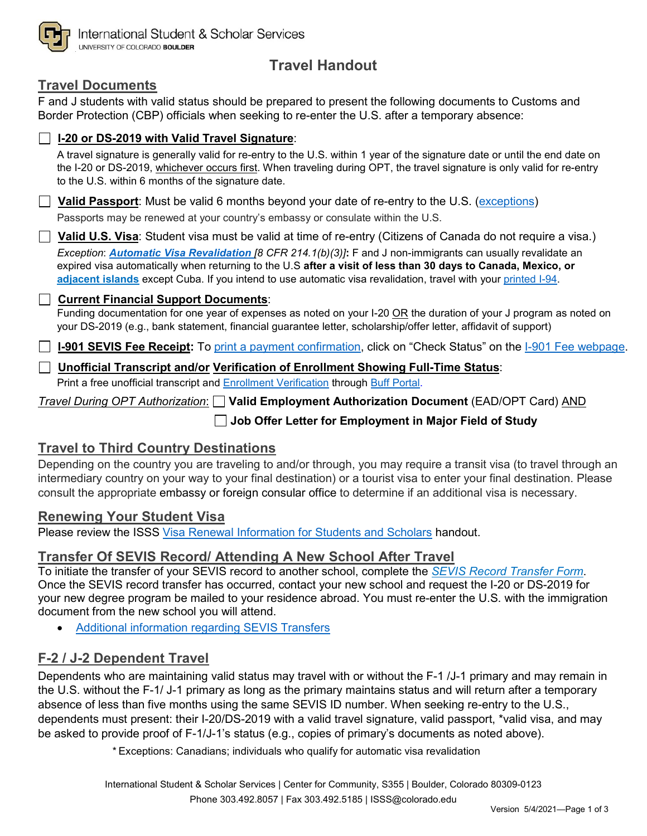

# **Travel Handout**

## **Travel Documents**

F and J students with valid status should be prepared to present the following documents to Customs and Border Protection (CBP) officials when seeking to re-enter the U.S. after a temporary absence:

| <b><u>  I-20 or DS-2019 with Valid Travel Signature</u>:</b>                 |  |  |  |  |
|------------------------------------------------------------------------------|--|--|--|--|
| A travel signature is generally valid for re-entry to the U.S. within 1 year |  |  |  |  |

A travel signature is generally valid for re-entry to the U.S. within 1 year of the signature date or until the end date on the I-20 or DS-2019, whichever occurs first. When traveling during OPT, the travel signature is only valid for re-entry to the U.S. within 6 months of the signature date.

### **Valid Passport**: Must be valid 6 months beyond your date of re-entry to the U.S. [\(exceptions\)](https://www.cbp.gov/document/bulletins/six-month-club-update)

Passports may be renewed at your country's embassy or consulate within the U.S.

**Valid U.S. Visa**: Student visa must be valid at time of re-entry (Citizens of Canada do not require a visa.) *Exception*: *[Automatic Visa Revalidation](https://travel.state.gov/content/travel/en/us-visas/visa-information-resources/visa-expiration-date/auto-revalidate.html) [8 CFR 214.1(b)(3)]***:** F and J non-immigrants can usually revalidate an expired visa automatically when returning to the U.S **after a visit of less than 30 days to Canada, Mexico, or [adjacent islands](http://www.ice.gov/sevis/travel/faq_f2.htm#_Toc81222015)** except Cuba. If you intend to use automatic visa revalidation, travel with your [printed I-94.](https://i94.cbp.dhs.gov/I94/#/home)

### **Current Financial Support Documents**:

Funding documentation for one year of expenses as noted on your I-20 OR the duration of your J program as noted on your DS-2019 (e.g., bank statement, financial guarantee letter, scholarship/offer letter, affidavit of support)

**I-901 SEVIS Fee Receipt:** To [print a payment confirmation,](https://www.fmjfee.com/index.html) click on "Check Status" on the [I-901 Fee webpage.](https://www.fmjfee.com/index.html)

#### **Unofficial Transcript and/or Verification of Enrollment Showing Full-Time Status**:

Print a free unofficial transcript and **Enrollment Verification** through **Buff Portal**.

*Travel During OPT Authorization*: **Valid Employment Authorization Document** (EAD/OPT Card) AND

**Job Offer Letter for Employment in Major Field of Study**

## **Travel to Third Country Destinations**

Depending on the country you are traveling to and/or through, you may require a transit visa (to travel through an intermediary country on your way to your final destination) or a tourist visa to enter your final destination. Please consult the appropriate embassy or foreign consular office to determine if an additional visa is necessary.

## **Renewing Your Student Visa**

Please review the ISSS [Visa Renewal Information for Students and Scholars](https://www.colorado.edu/isss/node/256/attachment) handout.

## **Transfer Of SEVIS Record/ Attending A New School After Travel**

To initiate the transfer of your SEVIS record to another school, complete the *[SEVIS Record Transfer](https://na2.docusign.net/Member/PowerFormSigning.aspx?PowerFormId=92bce6b0-9631-4397-9a36-60a6dd3b2a76) Form*. Once the SEVIS record transfer has occurred, contact your new school and request the I-20 or DS-2019 for your new degree program be mailed to your residence abroad. You must re-enter the U.S. with the immigration document from the new school you will attend.

• [Additional information regarding SEVIS Transfers](https://www.ice.gov/sevis/f1-transfers)

## **F-2 / J-2 Dependent Travel**

Dependents who are maintaining valid status may travel with or without the F-1 /J-1 primary and may remain in the U.S. without the F-1/ J-1 primary as long as the primary maintains status and will return after a temporary absence of less than five months using the same SEVIS ID number. When seeking re-entry to the U.S., dependents must present: their I-20/DS-2019 with a valid travel signature, valid passport, \*valid visa, and may be asked to provide proof of F-1/J-1's status (e.g., copies of primary's documents as noted above).

 *\** Exceptions: Canadians; individuals who qualify for automatic visa revalidation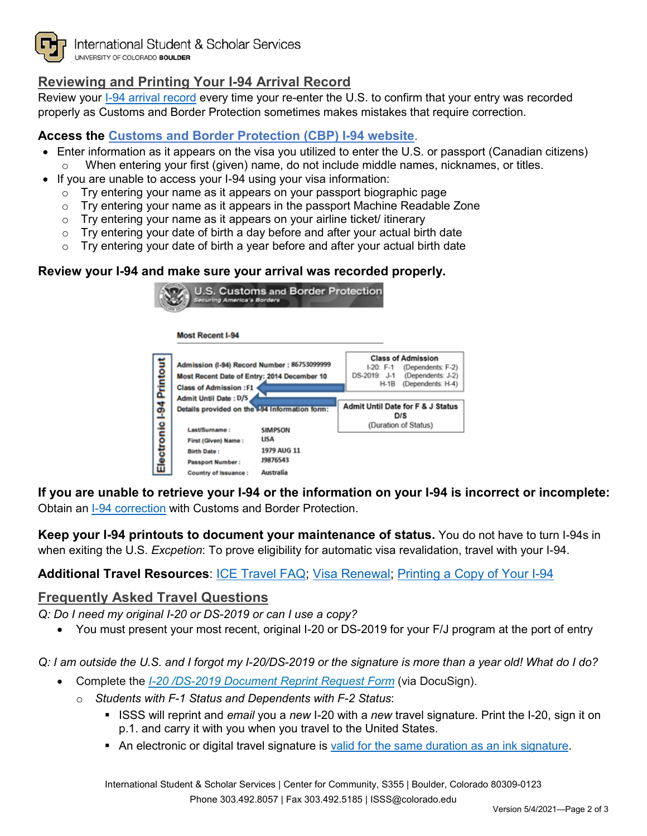

## **Reviewing and Printing Your I-94 Arrival Record**

Review your **I-94 arrival record** every time your re-enter the U.S. to confirm that your entry was recorded properly as Customs and Border Protection sometimes makes mistakes that require correction.

#### **Access the [Customs and Border Protection \(CBP\) I-94 website](https://i94.cbp.dhs.gov/I94/#/home)**.

- Enter information as it appears on the visa you utilized to enter the U.S. or passport (Canadian citizens)
	- When entering your first (given) name, do not include middle names, nicknames, or titles.
- If you are unable to access your I-94 using your visa information:
	- $\circ$  Try entering your name as it appears on your passport biographic page
	- o Try entering your name as it appears in the passport Machine Readable Zone
	- o Try entering your name as it appears on your airline ticket/ itinerary
	- $\circ$  Try entering your date of birth a day before and after your actual birth date
	- $\circ$  Try entering your date of birth a year before and after your actual birth date

#### **Review your I-94 and make sure your arrival was recorded properly.**

|                          | <b>Securing America's Borders</b>                                                                                           | <b>U.S. Customs and Border Protection</b>           |                                                                  |                                                                                          |
|--------------------------|-----------------------------------------------------------------------------------------------------------------------------|-----------------------------------------------------|------------------------------------------------------------------|------------------------------------------------------------------------------------------|
|                          | <b>Most Recent I-94</b>                                                                                                     |                                                     |                                                                  |                                                                                          |
|                          | Admission (I-94) Record Number: 86753099999<br>Most Recent Date of Entry: 2014 December 10<br><b>Class of Admission: F1</b> |                                                     | $1-20: F-1$<br>DS-2019: J-1<br>$H-1B$                            | <b>Class of Admission</b><br>(Dependents: F-2)<br>(Dependents: J-2)<br>(Dependents: H-4) |
|                          | <b>Admit Until Date: D/S</b><br>Details provided on the 1-94 Information form:<br>Last/Surname:<br><b>SIMPSON</b>           |                                                     | Admit Until Date for F & J Status<br>D/S<br>(Duration of Status) |                                                                                          |
| Electronic I-94 Printout | First (Given) Name:<br><b>Birth Date:</b><br><b>Passport Number:</b><br><b>Country of Issuance:</b>                         | <b>LISA</b><br>1979 AUG 11<br>19876543<br>Australia |                                                                  |                                                                                          |

**If you are unable to retrieve your I-94 or the information on your I-94 is incorrect or incomplete:** Obtain an [I-94 correction](http://www.colorado.edu/isss/content/printing-your-electronic-i-94-pdf) with Customs and Border Protection.

**Keep your I-94 printouts to document your maintenance of status.** You do not have to turn I-94s in when exiting the U.S. *Excpetion*: To prove eligibility for automatic visa revalidation, travel with your I-94.

## **Additional Travel Resources**: [ICE Travel FAQ;](https://www.ice.gov/sevis/travel#wcm-survey-target-id) [Visa Renewal;](http://www.colorado.edu/isss/content/visa-renewal-information-students-and-scholars-pdf) [Printing a Copy of Your I-94](http://www.colorado.edu/isss/content/printing-your-electronic-i-94-pdf)

## **Frequently Asked Travel Questions**

*Q: Do I need my original I-20 or DS-2019 or can I use a copy?* 

• You must present your most recent, original I-20 or DS-2019 for your F/J program at the port of entry

*Q: I am outside the U.S. and I forgot my I-20/DS-2019 or the signature is more than a year old! What do I do?*

- Complete the *I-20 /DS-2019 [Document](https://na2.docusign.net/Member/PowerFormSigning.aspx?PowerFormId=5b13202f-2526-4b3f-8a22-24964f7f1e0d) Reprint Request Form* (via DocuSign).
	- o *Students with F-1 Status and Dependents with F-2 Status*:
		- ISSS will reprint and *email* you a *new* I-20 with a *new* travel signature. Print the I-20, sign it on p.1. and carry it with you when you travel to the United States.
		- An electronic or digital travel signature is [valid for the same duration as an ink signature.](https://www.ice.gov/doclib/coronavirus/covid19faq.pdf)